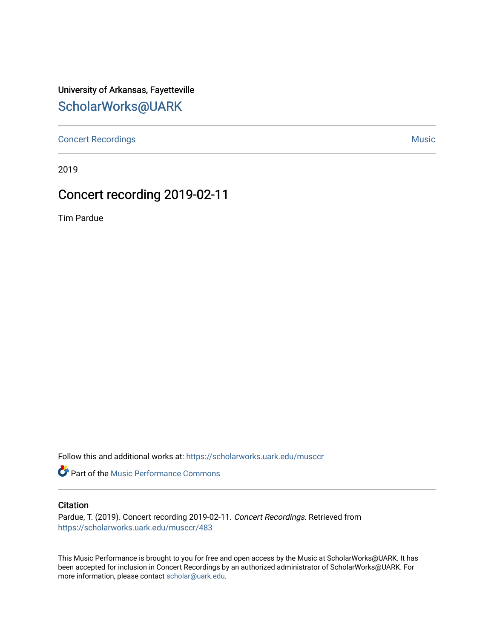University of Arkansas, Fayetteville [ScholarWorks@UARK](https://scholarworks.uark.edu/) 

[Concert Recordings](https://scholarworks.uark.edu/musccr) [Music](https://scholarworks.uark.edu/musc) Network and Security Assembly and Security Assembly Assembly Assembly Assembly Assembly

2019

## Concert recording 2019-02-11

Tim Pardue

Follow this and additional works at: [https://scholarworks.uark.edu/musccr](https://scholarworks.uark.edu/musccr?utm_source=scholarworks.uark.edu%2Fmusccr%2F483&utm_medium=PDF&utm_campaign=PDFCoverPages) 

Part of the [Music Performance Commons](http://network.bepress.com/hgg/discipline/1128?utm_source=scholarworks.uark.edu%2Fmusccr%2F483&utm_medium=PDF&utm_campaign=PDFCoverPages)

## **Citation**

Pardue, T. (2019). Concert recording 2019-02-11. Concert Recordings. Retrieved from [https://scholarworks.uark.edu/musccr/483](https://scholarworks.uark.edu/musccr/483?utm_source=scholarworks.uark.edu%2Fmusccr%2F483&utm_medium=PDF&utm_campaign=PDFCoverPages) 

This Music Performance is brought to you for free and open access by the Music at ScholarWorks@UARK. It has been accepted for inclusion in Concert Recordings by an authorized administrator of ScholarWorks@UARK. For more information, please contact [scholar@uark.edu.](mailto:scholar@uark.edu)